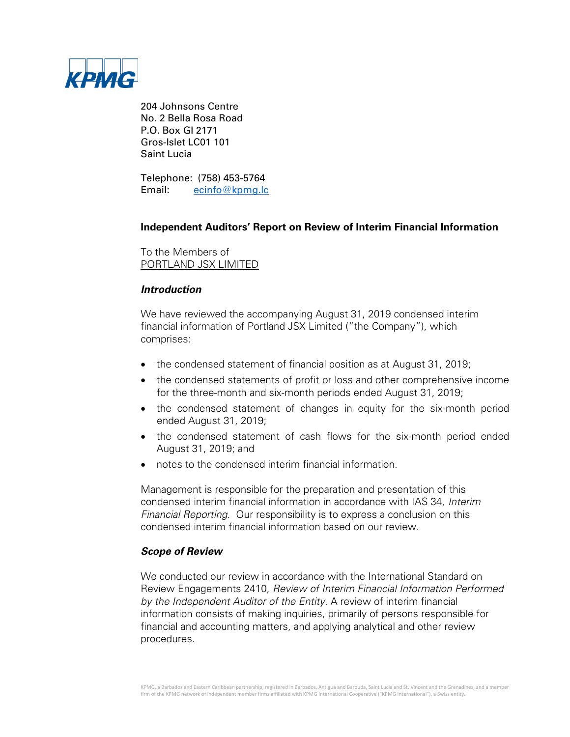

204 Johnsons Centre No. 2 Bella Rosa Road P.O. Box GI 2171 Gros-Islet LC01 101 Saint Lucia

Telephone: (758) 453-5764 Email: [ecinfo@kpmg.lc](mailto:ecinfo@kpmg.lc)

# **Independent Auditors' Report on Review of Interim Financial Information**

To the Members of PORTLAND JSX LIMITED

# **Introduction**

We have reviewed the accompanying August 31, 2019 condensed interim financial information of Portland JSX Limited ("the Company"), which comprises:

- the condensed statement of financial position as at August 31, 2019;
- the condensed statements of profit or loss and other comprehensive income for the three-month and six-month periods ended August 31, 2019;
- the condensed statement of changes in equity for the six-month period ended August 31, 2019;
- the condensed statement of cash flows for the six-month period ended August 31, 2019; and
- notes to the condensed interim financial information.

Management is responsible for the preparation and presentation of this condensed interim financial information in accordance with IAS 34, Interim Financial Reporting. Our responsibility is to express a conclusion on this condensed interim financial information based on our review.

# **Scope of Review**

We conducted our review in accordance with the International Standard on Review Engagements 2410, Review of Interim Financial Information Performed by the Independent Auditor of the Entity. A review of interim financial information consists of making inquiries, primarily of persons responsible for financial and accounting matters, and applying analytical and other review procedures.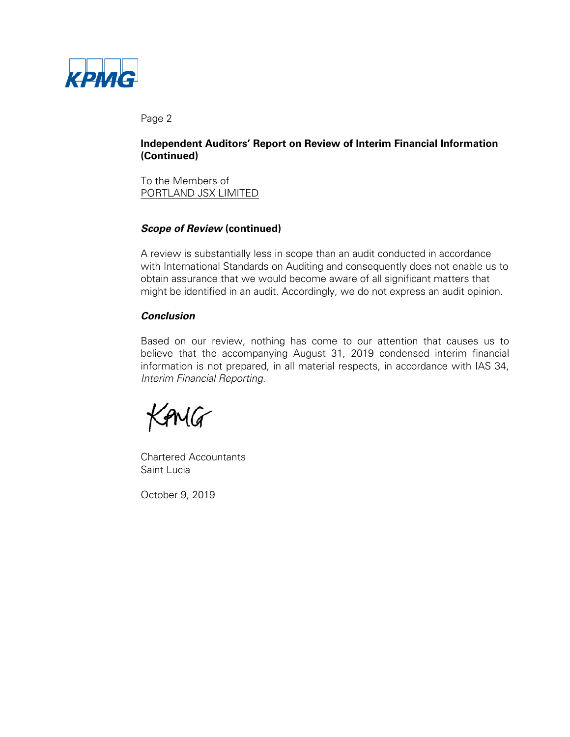

Page 2

# **Independent Auditors' Report on Review of Interim Financial Information (Continued)**

To the Members of PORTLAND JSX LIMITED

# **Scope of Review (continued)**

A review is substantially less in scope than an audit conducted in accordance with International Standards on Auditing and consequently does not enable us to obtain assurance that we would become aware of all significant matters that might be identified in an audit. Accordingly, we do not express an audit opinion.

# **Conclusion**

Based on our review, nothing has come to our attention that causes us to believe that the accompanying August 31, 2019 condensed interim financial information is not prepared, in all material respects, in accordance with IAS 34, Interim Financial Reporting.

GMG

Chartered Accountants Saint Lucia

October 9, 2019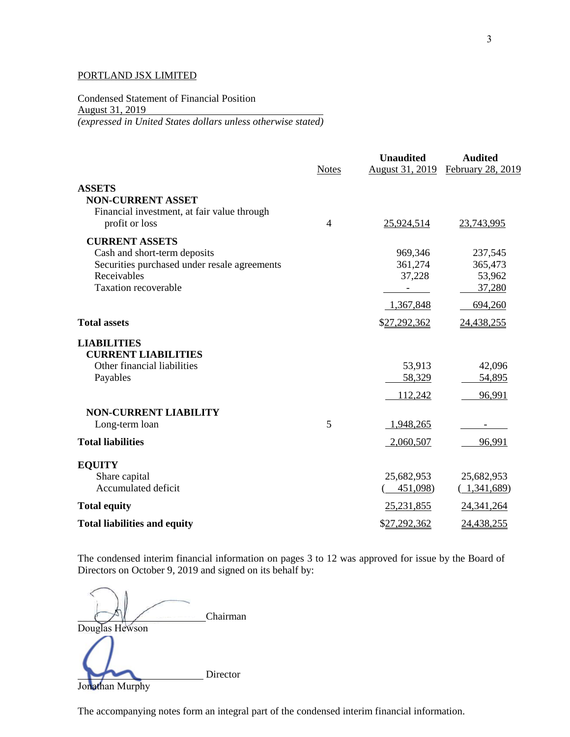Condensed Statement of Financial Position August 31, 2019 *(expressed in United States dollars unless otherwise stated)*

|                                                                                                                            | <b>Notes</b> | <b>Unaudited</b>             | <b>Audited</b><br>August 31, 2019 February 28, 2019 |
|----------------------------------------------------------------------------------------------------------------------------|--------------|------------------------------|-----------------------------------------------------|
| <b>ASSETS</b><br><b>NON-CURRENT ASSET</b><br>Financial investment, at fair value through                                   |              |                              |                                                     |
| profit or loss                                                                                                             | 4            | 25,924,514                   | 23,743,995                                          |
| <b>CURRENT ASSETS</b>                                                                                                      |              |                              |                                                     |
| Cash and short-term deposits<br>Securities purchased under resale agreements<br>Receivables<br><b>Taxation recoverable</b> |              | 969,346<br>361,274<br>37,228 | 237,545<br>365,473<br>53,962                        |
|                                                                                                                            |              | $\sim$                       | 37,280                                              |
| <b>Total assets</b>                                                                                                        |              | 1,367,848<br>\$27,292,362    | 694,260<br>24,438,255                               |
| <b>LIABILITIES</b><br><b>CURRENT LIABILITIES</b>                                                                           |              |                              |                                                     |
| Other financial liabilities<br>Payables                                                                                    |              | 53,913<br>58,329             | 42,096<br>54,895                                    |
|                                                                                                                            |              | 112,242                      | 96,991                                              |
| <b>NON-CURRENT LIABILITY</b><br>Long-term loan                                                                             | 5            | 1,948,265                    |                                                     |
| <b>Total liabilities</b>                                                                                                   |              | 2,060,507                    | 96,991                                              |
| <b>EQUITY</b>                                                                                                              |              |                              |                                                     |
| Share capital<br>Accumulated deficit                                                                                       |              | 25,682,953<br>451,098)       | 25,682,953<br>(1,341,689)                           |
| <b>Total equity</b>                                                                                                        |              | 25,231,855                   | 24, 341, 264                                        |
| <b>Total liabilities and equity</b>                                                                                        |              | \$27,292,362                 | 24,438,255                                          |

The condensed interim financial information on pages 3 to 12 was approved for issue by the Board of Directors on October 9, 2019 and signed on its behalf by:

Chairman Douglas Hewson Director Jonathan Murphy

The accompanying notes form an integral part of the condensed interim financial information.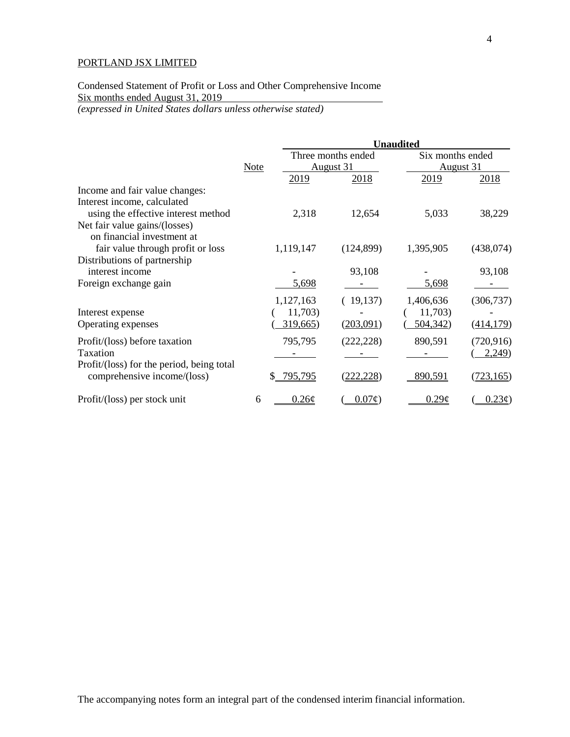# Condensed Statement of Profit or Loss and Other Comprehensive Income Six months ended August 31, 2019

*(expressed in United States dollars unless otherwise stated)*

|                                                 |             |                   | <b>Unaudited</b>                |                   |                               |  |
|-------------------------------------------------|-------------|-------------------|---------------------------------|-------------------|-------------------------------|--|
|                                                 | <b>Note</b> |                   | Three months ended<br>August 31 |                   | Six months ended<br>August 31 |  |
|                                                 |             | 2019              | 2018                            | 2019              | 2018                          |  |
| Income and fair value changes:                  |             |                   |                                 |                   |                               |  |
| Interest income, calculated                     |             |                   |                                 |                   |                               |  |
| using the effective interest method             |             | 2,318             | 12,654                          | 5,033             | 38,229                        |  |
| Net fair value gains/(losses)                   |             |                   |                                 |                   |                               |  |
| on financial investment at                      |             |                   |                                 |                   |                               |  |
| fair value through profit or loss               |             | 1,119,147         | (124, 899)                      | 1,395,905         | (438, 074)                    |  |
| Distributions of partnership<br>interest income |             |                   | 93,108                          |                   | 93,108                        |  |
| Foreign exchange gain                           |             | 5,698             |                                 | 5,698             |                               |  |
|                                                 |             | 1,127,163         | (19,137)                        | 1,406,636         | (306, 737)                    |  |
| Interest expense                                |             | 11,703)           |                                 | 11,703)           |                               |  |
| Operating expenses                              |             | 319,665           | (203,091)                       | 504,342           | (414, 179)                    |  |
| Profit/(loss) before taxation                   |             | 795,795           | (222, 228)                      | 890,591           | (720, 916)                    |  |
| Taxation                                        |             |                   |                                 |                   | 2,249                         |  |
| Profit/(loss) for the period, being total       |             |                   |                                 |                   |                               |  |
| comprehensive income/(loss)                     |             | 795,795           | 22.228)                         | 890,591           | (723, 165)                    |  |
| Profit/(loss) per stock unit                    | 6           | $0.26\mathcal{C}$ | $0.07\phi$                      | $0.29\mathcal{L}$ | $0.23\phi$                    |  |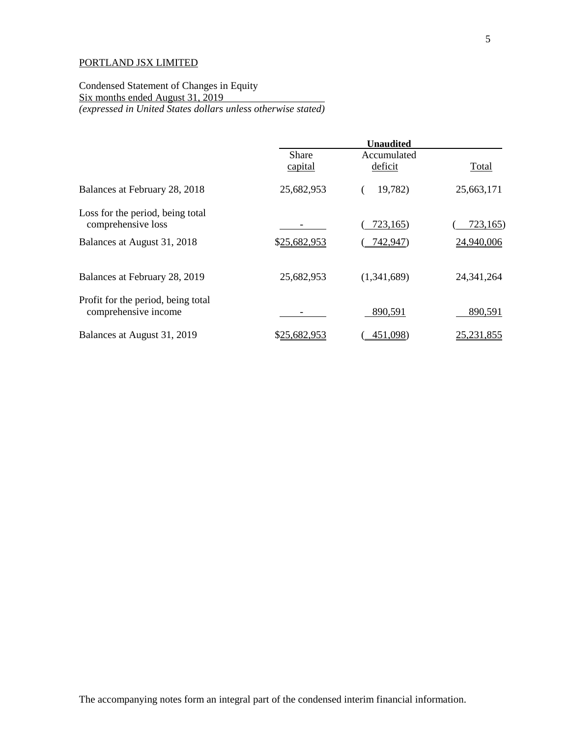## Condensed Statement of Changes in Equity Six months ended August 31, 2019 *(expressed in United States dollars unless otherwise stated)*

|                                                            | <b>Unaudited</b> |                        |              |
|------------------------------------------------------------|------------------|------------------------|--------------|
|                                                            | Share            | Accumulated<br>deficit | Total        |
|                                                            | capital          |                        |              |
| Balances at February 28, 2018                              | 25,682,953       | 19,782)                | 25,663,171   |
| Loss for the period, being total                           |                  |                        |              |
| comprehensive loss                                         |                  | 723,165)               | 723,165)     |
| Balances at August 31, 2018                                | \$25,682,953     | 742,947)               | 24,940,006   |
| Balances at February 28, 2019                              | 25,682,953       | (1,341,689)            | 24, 341, 264 |
| Profit for the period, being total<br>comprehensive income |                  | 890,591                | 890,591      |
| Balances at August 31, 2019                                | \$25,682,953     | 451,098)               | 25, 231, 855 |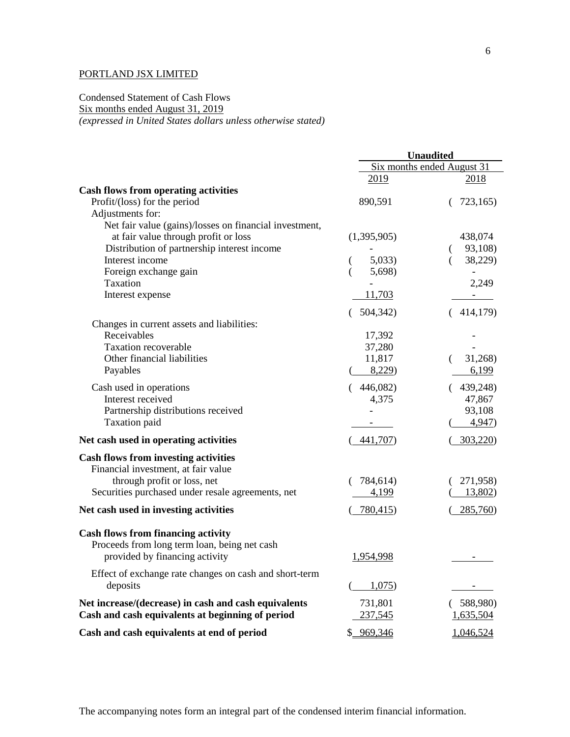Condensed Statement of Cash Flows Six months ended August 31, 2019 *(expressed in United States dollars unless otherwise stated)*

|                                                        | <b>Unaudited</b> |                            |
|--------------------------------------------------------|------------------|----------------------------|
|                                                        |                  | Six months ended August 31 |
|                                                        | 2019             | 2018                       |
| <b>Cash flows from operating activities</b>            |                  |                            |
| Profit/(loss) for the period                           | 890,591          | 723,165)                   |
| Adjustments for:                                       |                  |                            |
| Net fair value (gains)/losses on financial investment, |                  |                            |
| at fair value through profit or loss                   | (1,395,905)      | 438,074                    |
| Distribution of partnership interest income            |                  | 93,108)<br>€               |
| Interest income                                        | 5,033            | 38,229)                    |
| Foreign exchange gain                                  | 5,698)           |                            |
| Taxation                                               |                  | 2,249                      |
| Interest expense                                       | 11,703           |                            |
|                                                        | 504,342)         | (414,179)                  |
| Changes in current assets and liabilities:             |                  |                            |
| Receivables                                            | 17,392           |                            |
| <b>Taxation recoverable</b>                            | 37,280           |                            |
| Other financial liabilities                            | 11,817           | 31,268)                    |
| Payables                                               | 8,229            | 6,199                      |
|                                                        |                  |                            |
| Cash used in operations                                | (446,082)        | (439,248)                  |
| Interest received                                      | 4,375            | 47,867                     |
| Partnership distributions received                     |                  | 93,108                     |
| Taxation paid                                          |                  | 4,947)                     |
| Net cash used in operating activities                  | 441,707          | 303,220)                   |
| <b>Cash flows from investing activities</b>            |                  |                            |
| Financial investment, at fair value                    |                  |                            |
| through profit or loss, net                            | 784,614)         | 271,958)                   |
| Securities purchased under resale agreements, net      | 4,199            | 13,802                     |
| Net cash used in investing activities                  | 780,415          | 285,760)                   |
| <b>Cash flows from financing activity</b>              |                  |                            |
| Proceeds from long term loan, being net cash           |                  |                            |
| provided by financing activity                         | 1,954,998        |                            |
|                                                        |                  |                            |
| Effect of exchange rate changes on cash and short-term |                  |                            |
| deposits                                               | 1,075            |                            |
| Net increase/(decrease) in cash and cash equivalents   | 731,801          | 588,980)                   |
| Cash and cash equivalents at beginning of period       | 237,545          | <u>1,635,504</u>           |
| Cash and cash equivalents at end of period             | \$ 969,346       | 1,046,524                  |
|                                                        |                  |                            |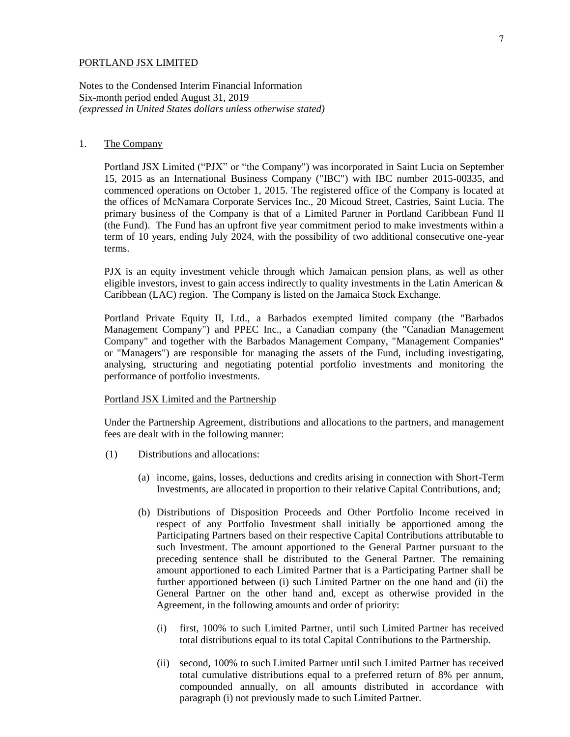Notes to the Condensed Interim Financial Information Six-month period ended August 31, 2019 *(expressed in United States dollars unless otherwise stated)*

## 1. The Company

Portland JSX Limited ("PJX" or "the Company") was incorporated in Saint Lucia on September 15, 2015 as an International Business Company ("IBC") with IBC number 2015-00335, and commenced operations on October 1, 2015. The registered office of the Company is located at the offices of McNamara Corporate Services Inc., 20 Micoud Street, Castries, Saint Lucia. The primary business of the Company is that of a Limited Partner in Portland Caribbean Fund II (the Fund). The Fund has an upfront five year commitment period to make investments within a term of 10 years, ending July  $2024$ , with the possibility of two additional consecutive one-year terms.

PJX is an equity investment vehicle through which Jamaican pension plans, as well as other eligible investors, invest to gain access indirectly to quality investments in the Latin American & Caribbean (LAC) region. The Company is listed on the Jamaica Stock Exchange.

Portland Private Equity II, Ltd., a Barbados exempted limited company (the "Barbados Management Company") and PPEC Inc., a Canadian company (the "Canadian Management Company" and together with the Barbados Management Company, "Management Companies" or "Managers") are responsible for managing the assets of the Fund, including investigating, analysing, structuring and negotiating potential portfolio investments and monitoring the performance of portfolio investments.

### Portland JSX Limited and the Partnership

Under the Partnership Agreement, distributions and allocations to the partners, and management fees are dealt with in the following manner:

- (1) Distributions and allocations:
	- (a) income, gains, losses, deductions and credits arising in connection with Short-Term Investments, are allocated in proportion to their relative Capital Contributions, and;
	- (b) Distributions of Disposition Proceeds and Other Portfolio Income received in respect of any Portfolio Investment shall initially be apportioned among the Participating Partners based on their respective Capital Contributions attributable to such Investment. The amount apportioned to the General Partner pursuant to the preceding sentence shall be distributed to the General Partner. The remaining amount apportioned to each Limited Partner that is a Participating Partner shall be further apportioned between (i) such Limited Partner on the one hand and (ii) the General Partner on the other hand and, except as otherwise provided in the Agreement, in the following amounts and order of priority:
		- (i) first, 100% to such Limited Partner, until such Limited Partner has received total distributions equal to its total Capital Contributions to the Partnership.
		- (ii) second, 100% to such Limited Partner until such Limited Partner has received total cumulative distributions equal to a preferred return of 8% per annum, compounded annually, on all amounts distributed in accordance with paragraph (i) not previously made to such Limited Partner.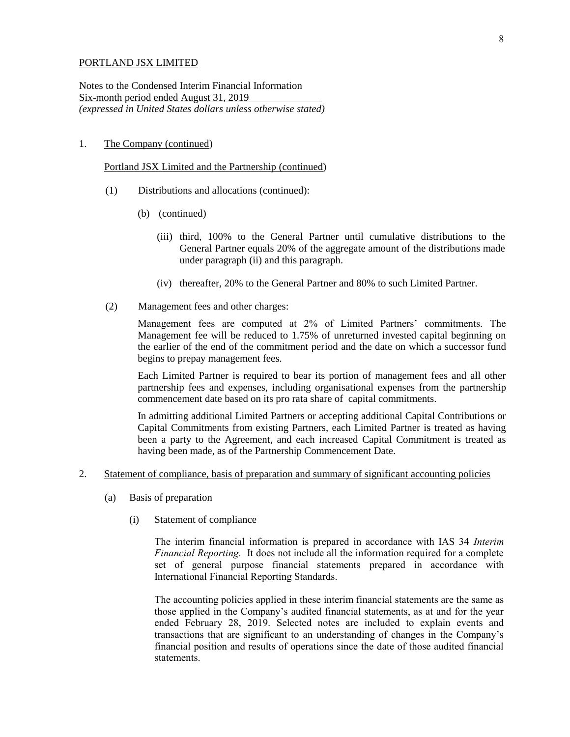Notes to the Condensed Interim Financial Information Six-month period ended August 31, 2019 *(expressed in United States dollars unless otherwise stated)*

## 1. The Company (continued)

#### Portland JSX Limited and the Partnership (continued)

- (1) Distributions and allocations (continued):
	- (b) (continued)
		- (iii) third, 100% to the General Partner until cumulative distributions to the General Partner equals 20% of the aggregate amount of the distributions made under paragraph (ii) and this paragraph.
		- (iv) thereafter, 20% to the General Partner and 80% to such Limited Partner.
- (2) Management fees and other charges:

Management fees are computed at 2% of Limited Partners' commitments. The Management fee will be reduced to 1.75% of unreturned invested capital beginning on the earlier of the end of the commitment period and the date on which a successor fund begins to prepay management fees.

Each Limited Partner is required to bear its portion of management fees and all other partnership fees and expenses, including organisational expenses from the partnership commencement date based on its pro rata share of capital commitments.

In admitting additional Limited Partners or accepting additional Capital Contributions or Capital Commitments from existing Partners, each Limited Partner is treated as having been a party to the Agreement, and each increased Capital Commitment is treated as having been made, as of the Partnership Commencement Date.

- 2. Statement of compliance, basis of preparation and summary of significant accounting policies
	- (a) Basis of preparation
		- (i) Statement of compliance

The interim financial information is prepared in accordance with IAS 34 *Interim Financial Reporting.* It does not include all the information required for a complete set of general purpose financial statements prepared in accordance with International Financial Reporting Standards.

The accounting policies applied in these interim financial statements are the same as those applied in the Company's audited financial statements, as at and for the year ended February 28, 2019. Selected notes are included to explain events and transactions that are significant to an understanding of changes in the Company's financial position and results of operations since the date of those audited financial statements.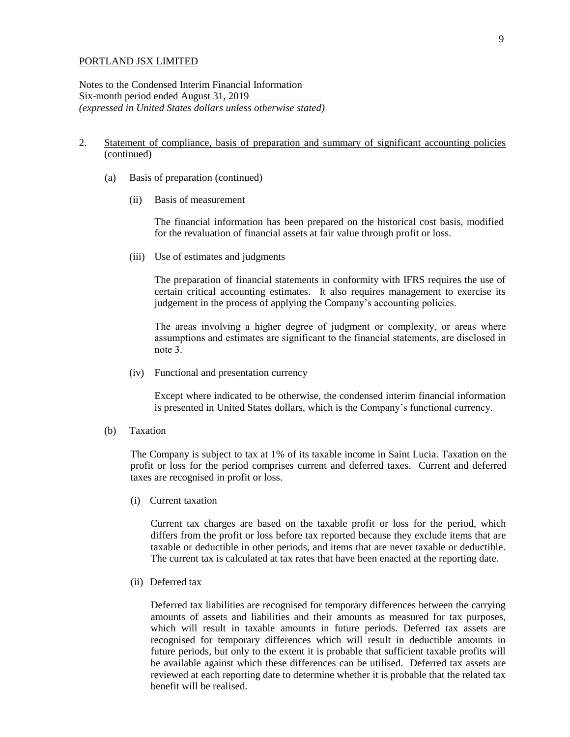Notes to the Condensed Interim Financial Information Six-month period ended August 31, 2019 *(expressed in United States dollars unless otherwise stated)*

# 2. Statement of compliance, basis of preparation and summary of significant accounting policies (continued)

- (a) Basis of preparation (continued)
	- (ii) Basis of measurement

The financial information has been prepared on the historical cost basis, modified for the revaluation of financial assets at fair value through profit or loss.

(iii) Use of estimates and judgments

The preparation of financial statements in conformity with IFRS requires the use of certain critical accounting estimates. It also requires management to exercise its judgement in the process of applying the Company's accounting policies.

The areas involving a higher degree of judgment or complexity, or areas where assumptions and estimates are significant to the financial statements, are disclosed in note 3.

(iv) Functional and presentation currency

Except where indicated to be otherwise, the condensed interim financial information is presented in United States dollars, which is the Company's functional currency.

(b) Taxation

The Company is subject to tax at 1% of its taxable income in Saint Lucia. Taxation on the profit or loss for the period comprises current and deferred taxes. Current and deferred taxes are recognised in profit or loss.

(i) Current taxation

Current tax charges are based on the taxable profit or loss for the period, which differs from the profit or loss before tax reported because they exclude items that are taxable or deductible in other periods, and items that are never taxable or deductible. The current tax is calculated at tax rates that have been enacted at the reporting date.

(ii) Deferred tax

Deferred tax liabilities are recognised for temporary differences between the carrying amounts of assets and liabilities and their amounts as measured for tax purposes, which will result in taxable amounts in future periods. Deferred tax assets are recognised for temporary differences which will result in deductible amounts in future periods, but only to the extent it is probable that sufficient taxable profits will be available against which these differences can be utilised. Deferred tax assets are reviewed at each reporting date to determine whether it is probable that the related tax benefit will be realised.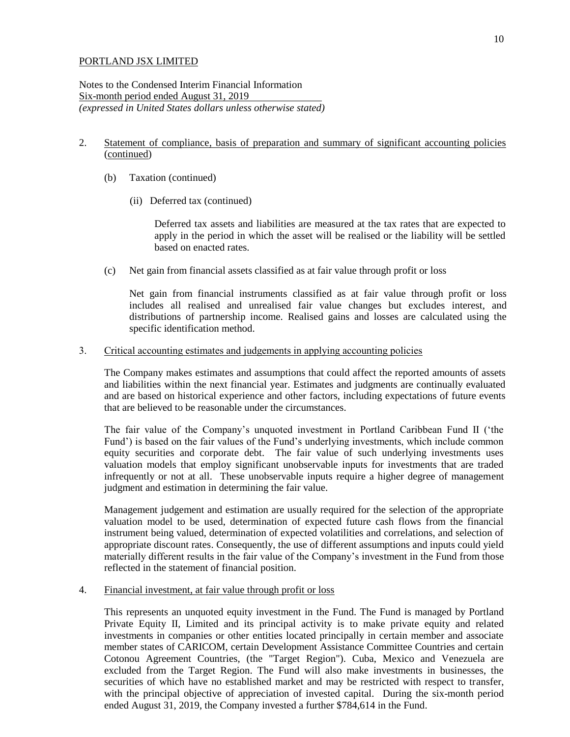Notes to the Condensed Interim Financial Information Six-month period ended August 31, 2019 *(expressed in United States dollars unless otherwise stated)*

## 2. Statement of compliance, basis of preparation and summary of significant accounting policies (continued)

- (b) Taxation (continued)
	- (ii) Deferred tax (continued)

Deferred tax assets and liabilities are measured at the tax rates that are expected to apply in the period in which the asset will be realised or the liability will be settled based on enacted rates.

(c) Net gain from financial assets classified as at fair value through profit or loss

Net gain from financial instruments classified as at fair value through profit or loss includes all realised and unrealised fair value changes but excludes interest, and distributions of partnership income. Realised gains and losses are calculated using the specific identification method.

#### 3. Critical accounting estimates and judgements in applying accounting policies

The Company makes estimates and assumptions that could affect the reported amounts of assets and liabilities within the next financial year. Estimates and judgments are continually evaluated and are based on historical experience and other factors, including expectations of future events that are believed to be reasonable under the circumstances.

The fair value of the Company's unquoted investment in Portland Caribbean Fund II ('the Fund') is based on the fair values of the Fund's underlying investments, which include common equity securities and corporate debt. The fair value of such underlying investments uses valuation models that employ significant unobservable inputs for investments that are traded infrequently or not at all. These unobservable inputs require a higher degree of management judgment and estimation in determining the fair value.

Management judgement and estimation are usually required for the selection of the appropriate valuation model to be used, determination of expected future cash flows from the financial instrument being valued, determination of expected volatilities and correlations, and selection of appropriate discount rates. Consequently, the use of different assumptions and inputs could yield materially different results in the fair value of the Company's investment in the Fund from those reflected in the statement of financial position.

#### 4. Financial investment, at fair value through profit or loss

This represents an unquoted equity investment in the Fund. The Fund is managed by Portland Private Equity II, Limited and its principal activity is to make private equity and related investments in companies or other entities located principally in certain member and associate member states of CARICOM, certain Development Assistance Committee Countries and certain Cotonou Agreement Countries, (the "Target Region"). Cuba, Mexico and Venezuela are excluded from the Target Region. The Fund will also make investments in businesses, the securities of which have no established market and may be restricted with respect to transfer, with the principal objective of appreciation of invested capital. During the six-month period ended August 31, 2019, the Company invested a further \$784,614 in the Fund.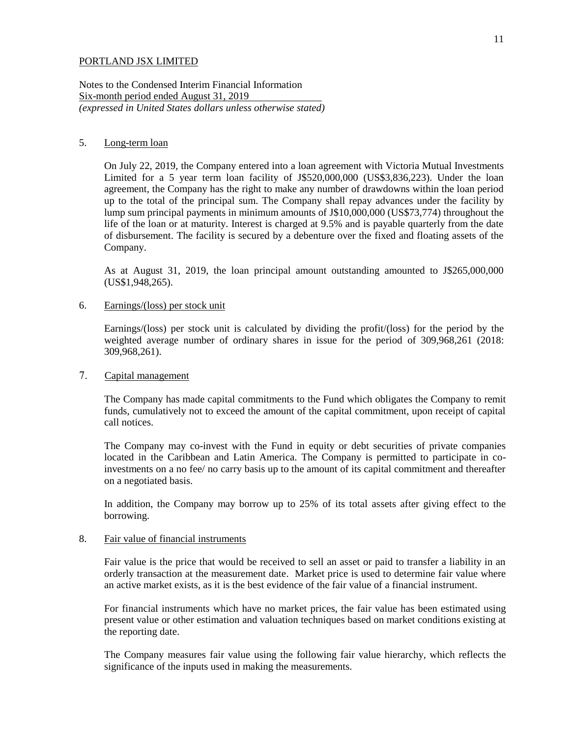Notes to the Condensed Interim Financial Information Six-month period ended August 31, 2019 *(expressed in United States dollars unless otherwise stated)*

#### 5. Long-term loan

On July 22, 2019, the Company entered into a loan agreement with Victoria Mutual Investments Limited for a 5 year term loan facility of J\$520,000,000 (US\$3,836,223). Under the loan agreement, the Company has the right to make any number of drawdowns within the loan period up to the total of the principal sum. The Company shall repay advances under the facility by lump sum principal payments in minimum amounts of J\$10,000,000 (US\$73,774) throughout the life of the loan or at maturity. Interest is charged at 9.5% and is payable quarterly from the date of disbursement. The facility is secured by a debenture over the fixed and floating assets of the Company.

As at August 31, 2019, the loan principal amount outstanding amounted to J\$265,000,000 (US\$1,948,265).

## 6. Earnings/(loss) per stock unit

Earnings/(loss) per stock unit is calculated by dividing the profit/(loss) for the period by the weighted average number of ordinary shares in issue for the period of 309,968,261 (2018: 309,968,261).

#### 7. Capital management

The Company has made capital commitments to the Fund which obligates the Company to remit funds, cumulatively not to exceed the amount of the capital commitment, upon receipt of capital call notices.

The Company may co-invest with the Fund in equity or debt securities of private companies located in the Caribbean and Latin America. The Company is permitted to participate in coinvestments on a no fee/ no carry basis up to the amount of its capital commitment and thereafter on a negotiated basis.

In addition, the Company may borrow up to 25% of its total assets after giving effect to the borrowing.

## 8. Fair value of financial instruments

Fair value is the price that would be received to sell an asset or paid to transfer a liability in an orderly transaction at the measurement date. Market price is used to determine fair value where an active market exists, as it is the best evidence of the fair value of a financial instrument.

For financial instruments which have no market prices, the fair value has been estimated using present value or other estimation and valuation techniques based on market conditions existing at the reporting date.

The Company measures fair value using the following fair value hierarchy, which reflects the significance of the inputs used in making the measurements.